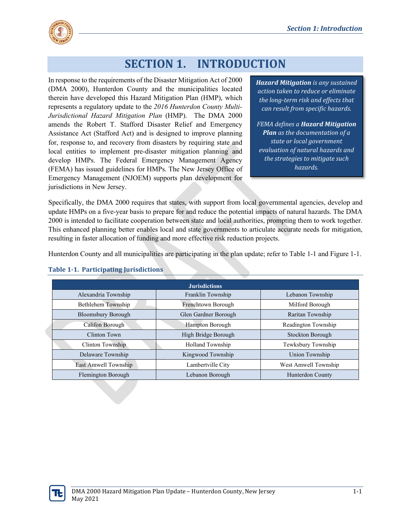

# **SECTION 1. INTRODUCTION**

In response to the requirements of the Disaster Mitigation Act of 2000 (DMA 2000), Hunterdon County and the municipalities located therein have developed this Hazard Mitigation Plan (HMP), which represents a regulatory update to the *2016 Hunterdon County Multi-Jurisdictional Hazard Mitigation Plan* (HMP). The DMA 2000 amends the Robert T. Stafford Disaster Relief and Emergency Assistance Act (Stafford Act) and is designed to improve planning for, response to, and recovery from disasters by requiring state and local entities to implement pre-disaster mitigation planning and develop HMPs. The Federal Emergency Management Agency (FEMA) has issued guidelines for HMPs. The New Jersey Office of Emergency Management (NJOEM) supports plan development for jurisdictions in New Jersey.

*Hazard Mitigation is any sustained action taken to reduce or eliminate the long-term risk and effects that can result from specific hazards.*

*FEMA defines a Hazard Mitigation Plan as the documentation of a state or local government evaluation of natural hazards and the strategies to mitigate such hazards.*

Specifically, the DMA 2000 requires that states, with support from local governmental agencies, develop and update HMPs on a five-year basis to prepare for and reduce the potential impacts of natural hazards. The DMA 2000 is intended to facilitate cooperation between state and local authorities, prompting them to work together. This enhanced planning better enables local and state governments to articulate accurate needs for mitigation, resulting in faster allocation of funding and more effective risk reduction projects.

Hunterdon County and all municipalities are participating in the plan update; refer to Table 1-1 and Figure 1-1.

| <b>Jurisdictions</b>      |                      |                      |
|---------------------------|----------------------|----------------------|
| Alexandria Township       | Franklin Township    | Lebanon Township     |
| Bethlehem Township        | Frenchtown Borough   | Milford Borough      |
| <b>Bloomsbury Borough</b> | Glen Gardner Borough | Raritan Township     |
| Califon Borough           | Hampton Borough      | Readington Township  |
| Clinton Town              | High Bridge Borough  | Stockton Borough     |
| Clinton Township          | Holland Township     | Tewksbury Township   |
| Delaware Township         | Kingwood Township    | Union Township       |
| East Amwell Township      | Lambertville City    | West Amwell Township |
| Flemington Borough        | Lebanon Borough      | Hunterdon County     |

#### **Table 1-1. Participating Jurisdictions**

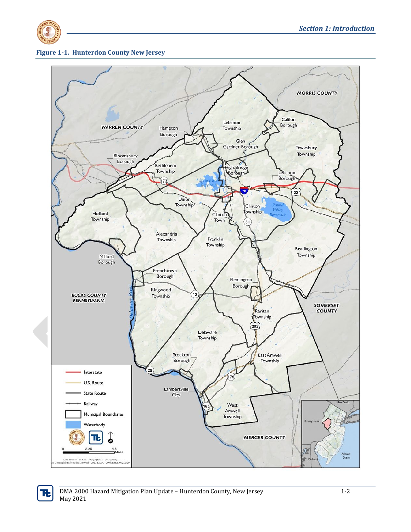

#### **Figure 1-1. Hunterdon County New Jersey**

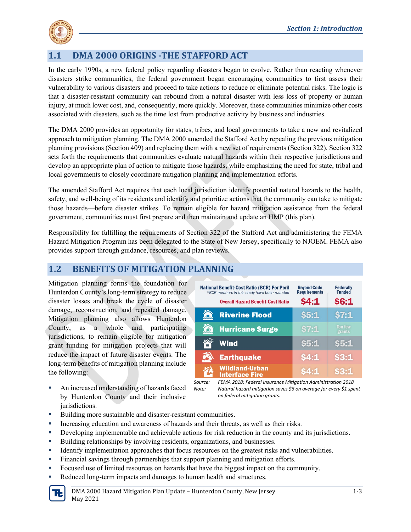

## **1.1 DMA 2000 ORIGINS -THE STAFFORD ACT**

In the early 1990s, a new federal policy regarding disasters began to evolve. Rather than reacting whenever disasters strike communities, the federal government began encouraging communities to first assess their vulnerability to various disasters and proceed to take actions to reduce or eliminate potential risks. The logic is that a disaster-resistant community can rebound from a natural disaster with less loss of property or human injury, at much lower cost, and, consequently, more quickly. Moreover, these communities minimize other costs associated with disasters, such as the time lost from productive activity by business and industries.

The DMA 2000 provides an opportunity for states, tribes, and local governments to take a new and revitalized approach to mitigation planning. The DMA 2000 amended the Stafford Act by repealing the previous mitigation planning provisions (Section 409) and replacing them with a new set of requirements (Section 322). Section 322 sets forth the requirements that communities evaluate natural hazards within their respective jurisdictions and develop an appropriate plan of action to mitigate those hazards, while emphasizing the need for state, tribal and local governments to closely coordinate mitigation planning and implementation efforts.

The amended Stafford Act requires that each local jurisdiction identify potential natural hazards to the health, safety, and well-being of its residents and identify and prioritize actions that the community can take to mitigate those hazards—before disaster strikes. To remain eligible for hazard mitigation assistance from the federal government, communities must first prepare and then maintain and update an HMP (this plan).

Responsibility for fulfilling the requirements of Section 322 of the Stafford Act and administering the FEMA Hazard Mitigation Program has been delegated to the State of New Jersey, specifically to NJOEM. FEMA also provides support through guidance, resources, and plan reviews.

#### **1.2 BENEFITS OF MITIGATION PLANNING**

Mitigation planning forms the foundation for Hunterdon County's long-term strategy to reduce disaster losses and break the cycle of disaster damage, reconstruction, and repeated damage. Mitigation planning also allows Hunterdon County, as a whole and participating jurisdictions, to remain eligible for mitigation grant funding for mitigation projects that will reduce the impact of future disaster events. The long-term benefits of mitigation planning include the following:

 An increased understanding of hazards faced by Hunterdon County and their inclusive jurisdictions.

| <b>National Benefit-Cost Ratio (BCR) Per Peril</b><br>*BCR numbers in this study have been rounded<br><b>Overall Hazard Benefit-Cost Ratio</b> | <b>Bevond Code</b><br><b>Requirements</b><br>54:1 | <b>Federally</b><br><b>Funded</b><br>\$6:1 |
|------------------------------------------------------------------------------------------------------------------------------------------------|---------------------------------------------------|--------------------------------------------|
| <b>Riverine Flood</b>                                                                                                                          | \$5:1                                             | \$7:1                                      |
| <b>Hurricane Surge</b>                                                                                                                         | \$7:1                                             | <b>Too few</b><br>grants                   |
| <b>Wind</b>                                                                                                                                    | \$5:1                                             | \$5:1                                      |
| <b>Earthquake</b>                                                                                                                              | 54:1                                              | 53:1                                       |
| <b>Wildland-Urban</b><br><b>Interface Fire</b>                                                                                                 | S4:1                                              | S3:1                                       |

*Source: FEMA 2018; Federal Insurance Mitigation Administration 2018 Note: Natural hazard mitigation saves \$6 on average for every \$1 spent on federal mitigation grants.*

- Building more sustainable and disaster-resistant communities.
- Increasing education and awareness of hazards and their threats, as well as their risks.
- Developing implementable and achievable actions for risk reduction in the county and its jurisdictions.
- Building relationships by involving residents, organizations, and businesses.
- Identify implementation approaches that focus resources on the greatest risks and vulnerabilities.
- Financial savings through partnerships that support planning and mitigation efforts.
- Focused use of limited resources on hazards that have the biggest impact on the community.
- Reduced long-term impacts and damages to human health and structures.

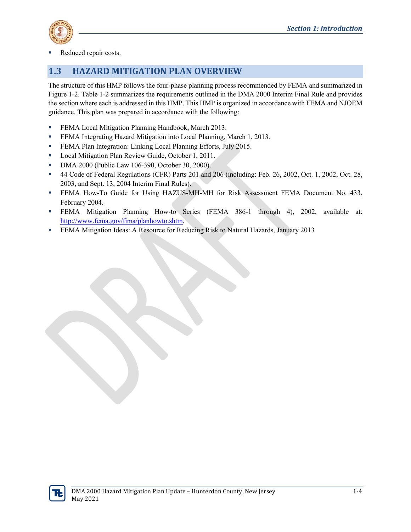

Reduced repair costs.

### **1.3 HAZARD MITIGATION PLAN OVERVIEW**

The structure of this HMP follows the four-phase planning process recommended by FEMA and summarized in Figure 1-2. Table 1-2 summarizes the requirements outlined in the DMA 2000 Interim Final Rule and provides the section where each is addressed in this HMP. This HMP is organized in accordance with FEMA and NJOEM guidance. This plan was prepared in accordance with the following:

- **FEMA Local Mitigation Planning Handbook, March 2013.**
- **FEMA Integrating Hazard Mitigation into Local Planning, March 1, 2013.**
- **FEMA Plan Integration: Linking Local Planning Efforts, July 2015.**
- **Local Mitigation Plan Review Guide, October 1, 2011.**
- **DMA 2000 (Public Law 106-390, October 30, 2000).**
- 44 Code of Federal Regulations (CFR) Parts 201 and 206 (including: Feb. 26, 2002, Oct. 1, 2002, Oct. 28, 2003, and Sept. 13, 2004 Interim Final Rules).
- FEMA How-To Guide for Using HAZUS-MH-MH for Risk Assessment FEMA Document No. 433, February 2004.
- FEMA Mitigation Planning How-to Series (FEMA 386-1 through 4), 2002, available at: [http://www.fema.gov/fima/planhowto.shtm.](http://www.fema.gov/fima/planhowto.shtm)
- FEMA Mitigation Ideas: A Resource for Reducing Risk to Natural Hazards, January 2013

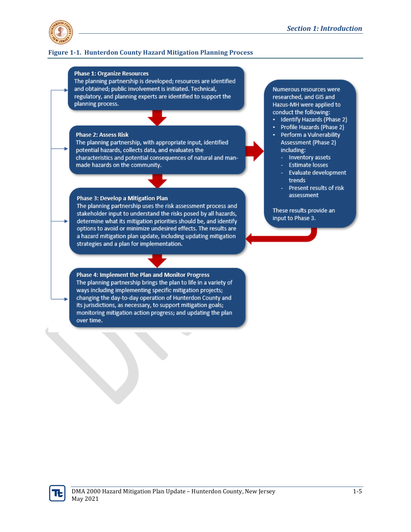

#### **Figure 1-1. Hunterdon County Hazard Mitigation Planning Process**

#### **Phase 1: Organize Resources**

The planning partnership is developed; resources are identified and obtained; public involvement is initiated. Technical, regulatory, and planning experts are identified to support the planning process.

#### **Phase 2: Assess Risk**

The planning partnership, with appropriate input, identified potential hazards, collects data, and evaluates the characteristics and potential consequences of natural and manmade hazards on the community.

#### Phase 3: Develop a Mitigation Plan

The planning partnership uses the risk assessment process and stakeholder input to understand the risks posed by all hazards, determine what its mitigation priorities should be, and identify options to avoid or minimize undesired effects. The results are a hazard mitigation plan update, including updating mitigation strategies and a plan for implementation.

Phase 4: Implement the Plan and Monitor Progress The planning partnership brings the plan to life in a variety of ways including implementing specific mitigation projects; changing the day-to-day operation of Hunterdon County and its jurisdictions, as necessary, to support mitigation goals; monitoring mitigation action progress; and updating the plan over time.

Numerous resources were researched, and GIS and Hazus-MH were applied to conduct the following:

- Identify Hazards (Phase 2)
- Profile Hazards (Phase 2)
- Perform a Vulnerability Assessment (Phase 2) including:
	- Inventory assets
	- **Estimate losses**
	- Evaluate development trends
	- Present results of risk assessment

These results provide an input to Phase 3.

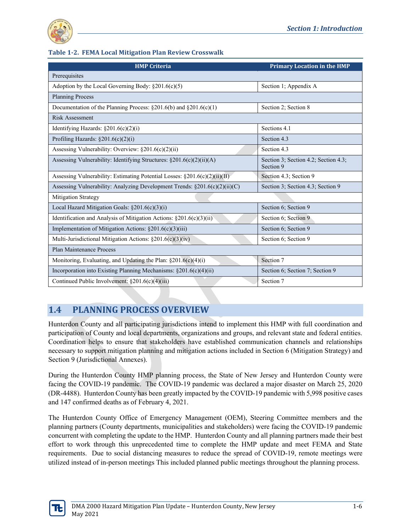

#### **Table 1-2. FEMA Local Mitigation Plan Review Crosswalk**

| <b>HMP Criteria</b>                                                            | <b>Primary Location in the HMP</b>                |
|--------------------------------------------------------------------------------|---------------------------------------------------|
| Prerequisites                                                                  |                                                   |
| Adoption by the Local Governing Body: $\S 201.6(c)(5)$                         | Section 1; Appendix A                             |
| <b>Planning Process</b>                                                        |                                                   |
| Documentation of the Planning Process: §201.6(b) and §201.6(c)(1)              | Section 2; Section 8                              |
| <b>Risk Assessment</b>                                                         |                                                   |
| Identifying Hazards: $\S201.6(c)(2)(i)$                                        | Sections 4.1                                      |
| Profiling Hazards: $\S 201.6(c)(2)(i)$                                         | Section 4.3                                       |
| Assessing Vulnerability: Overview: $\S 201.6(c)(2)(ii)$                        | Section 4.3                                       |
| Assessing Vulnerability: Identifying Structures: $\S201.6(c)(2)(ii)(A)$        | Section 3; Section 4.2; Section 4.3;<br>Section 9 |
| Assessing Vulnerability: Estimating Potential Losses: §201.6(c)(2)(ii)(B)      | Section 4.3; Section 9                            |
| Assessing Vulnerability: Analyzing Development Trends: $\S 201.6(c)(2)(ii)(C)$ | Section 3; Section 4.3; Section 9                 |
| Mitigation Strategy                                                            |                                                   |
| Local Hazard Mitigation Goals: §201.6(c)(3)(i)                                 | Section 6; Section 9                              |
| Identification and Analysis of Mitigation Actions: $\S 201.6(c)(3)(ii)$        | Section 6; Section 9                              |
| Implementation of Mitigation Actions: $\S201.6(c)(3)(iii)$                     | Section 6; Section 9                              |
| Multi-Jurisdictional Mitigation Actions: $\S201.6(c)(3)(iv)$                   | Section 6; Section 9                              |
| Plan Maintenance Process                                                       |                                                   |
| Monitoring, Evaluating, and Updating the Plan: $\S 201.6(c)(4)(i)$             | Section 7                                         |
| Incorporation into Existing Planning Mechanisms: $\S 201.6(c)(4)(ii)$          | Section 6; Section 7; Section 9                   |
| Continued Public Involvement: §201.6(c)(4)(iii)                                | Section 7                                         |

## **1.4 PLANNING PROCESS OVERVIEW**

Hunterdon County and all participating jurisdictions intend to implement this HMP with full coordination and participation of County and local departments, organizations and groups, and relevant state and federal entities. Coordination helps to ensure that stakeholders have established communication channels and relationships necessary to support mitigation planning and mitigation actions included in Section 6 (Mitigation Strategy) and Section 9 (Jurisdictional Annexes).

During the Hunterdon County HMP planning process, the State of New Jersey and Hunterdon County were facing the COVID-19 pandemic. The COVID-19 pandemic was declared a major disaster on March 25, 2020 (DR-4488). Hunterdon County has been greatly impacted by the COVID-19 pandemic with 5,998 positive cases and 147 confirmed deaths as of February 4, 2021.

The Hunterdon County Office of Emergency Management (OEM), Steering Committee members and the planning partners (County departments, municipalities and stakeholders) were facing the COVID-19 pandemic concurrent with completing the update to the HMP. Hunterdon County and all planning partners made their best effort to work through this unprecedented time to complete the HMP update and meet FEMA and State requirements. Due to social distancing measures to reduce the spread of COVID-19, remote meetings were utilized instead of in-person meetings This included planned public meetings throughout the planning process.

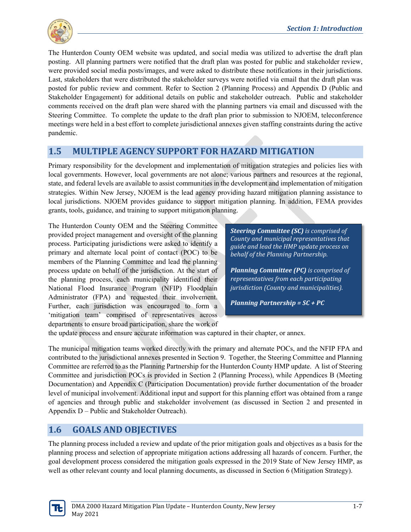

The Hunterdon County OEM website was updated, and social media was utilized to advertise the draft plan posting. All planning partners were notified that the draft plan was posted for public and stakeholder review, were provided social media posts/images, and were asked to distribute these notifications in their jurisdictions. Last, stakeholders that were distributed the stakeholder surveys were notified via email that the draft plan was posted for public review and comment. Refer to Section 2 (Planning Process) and Appendix D (Public and Stakeholder Engagement) for additional details on public and stakeholder outreach. Public and stakeholder comments received on the draft plan were shared with the planning partners via email and discussed with the Steering Committee. To complete the update to the draft plan prior to submission to NJOEM, teleconference meetings were held in a best effort to complete jurisdictional annexes given staffing constraints during the active pandemic.

#### **1.5 MULTIPLE AGENCY SUPPORT FOR HAZARD MITIGATION**

Primary responsibility for the development and implementation of mitigation strategies and policies lies with local governments. However, local governments are not alone; various partners and resources at the regional, state, and federal levels are available to assist communities in the development and implementation of mitigation strategies. Within New Jersey, NJOEM is the lead agency providing hazard mitigation planning assistance to local jurisdictions. NJOEM provides guidance to support mitigation planning. In addition, FEMA provides grants, tools, guidance, and training to support mitigation planning.

The Hunterdon County OEM and the Steering Committee provided project management and oversight of the planning process. Participating jurisdictions were asked to identify a primary and alternate local point of contact (POC) to be members of the Planning Committee and lead the planning process update on behalf of the jurisdiction. At the start of the planning process, each municipality identified their National Flood Insurance Program (NFIP) Floodplain Administrator (FPA) and requested their involvement. Further, each jurisdiction was encouraged to form a 'mitigation team' comprised of representatives across departments to ensure broad participation, share the work of

*Steering Committee (SC) is comprised of County and municipal representatives that guide and lead the HMP update process on behalf of the Planning Partnership.* 

*Planning Committee (PC) is comprised of representatives from each participating jurisdiction (County and municipalities).*

*Planning Partnership = SC + PC*

the update process and ensure accurate information was captured in their chapter, or annex.

The municipal mitigation teams worked directly with the primary and alternate POCs, and the NFIP FPA and contributed to the jurisdictional annexes presented in Section 9. Together, the Steering Committee and Planning Committee are referred to as the Planning Partnership for the Hunterdon County HMP update. A list of Steering Committee and jurisdiction POCs is provided in Section 2 (Planning Process), while Appendices B (Meeting Documentation) and Appendix C (Participation Documentation) provide further documentation of the broader level of municipal involvement. Additional input and support for this planning effort was obtained from a range of agencies and through public and stakeholder involvement (as discussed in Section 2 and presented in Appendix D – Public and Stakeholder Outreach).

### **1.6 GOALS AND OBJECTIVES**

The planning process included a review and update of the prior mitigation goals and objectives as a basis for the planning process and selection of appropriate mitigation actions addressing all hazards of concern. Further, the goal development process considered the mitigation goals expressed in the 2019 State of New Jersey HMP, as well as other relevant county and local planning documents, as discussed in Section 6 (Mitigation Strategy).

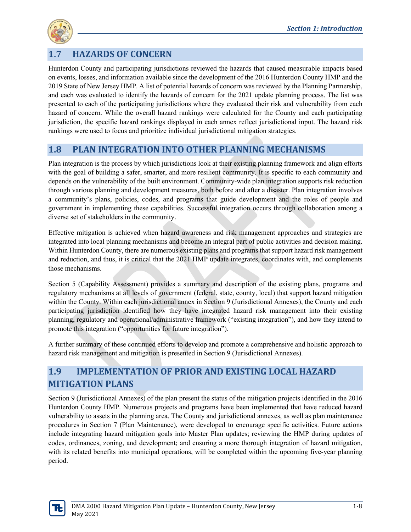

## **1.7 HAZARDS OF CONCERN**

Hunterdon County and participating jurisdictions reviewed the hazards that caused measurable impacts based on events, losses, and information available since the development of the 2016 Hunterdon County HMP and the 2019 State of New Jersey HMP. A list of potential hazards of concern was reviewed by the Planning Partnership, and each was evaluated to identify the hazards of concern for the 2021 update planning process. The list was presented to each of the participating jurisdictions where they evaluated their risk and vulnerability from each hazard of concern. While the overall hazard rankings were calculated for the County and each participating jurisdiction, the specific hazard rankings displayed in each annex reflect jurisdictional input. The hazard risk rankings were used to focus and prioritize individual jurisdictional mitigation strategies.

#### **1.8 PLAN INTEGRATION INTO OTHER PLANNING MECHANISMS**

Plan integration is the process by which jurisdictions look at their existing planning framework and align efforts with the goal of building a safer, smarter, and more resilient community. It is specific to each community and depends on the vulnerability of the built environment. Community-wide plan integration supports risk reduction through various planning and development measures, both before and after a disaster. Plan integration involves a community's plans, policies, codes, and programs that guide development and the roles of people and government in implementing these capabilities. Successful integration occurs through collaboration among a diverse set of stakeholders in the community.

Effective mitigation is achieved when hazard awareness and risk management approaches and strategies are integrated into local planning mechanisms and become an integral part of public activities and decision making. Within Hunterdon County, there are numerous existing plans and programs that support hazard risk management and reduction, and thus, it is critical that the 2021 HMP update integrates, coordinates with, and complements those mechanisms.

Section 5 (Capability Assessment) provides a summary and description of the existing plans, programs and regulatory mechanisms at all levels of government (federal, state, county, local) that support hazard mitigation within the County. Within each jurisdictional annex in Section 9 (Jurisdictional Annexes), the County and each participating jurisdiction identified how they have integrated hazard risk management into their existing planning, regulatory and operational/administrative framework ("existing integration"), and how they intend to promote this integration ("opportunities for future integration").

A further summary of these continued efforts to develop and promote a comprehensive and holistic approach to hazard risk management and mitigation is presented in Section 9 (Jurisdictional Annexes).

## **1.9 IMPLEMENTATION OF PRIOR AND EXISTING LOCAL HAZARD MITIGATION PLANS**

Section 9 (Jurisdictional Annexes) of the plan present the status of the mitigation projects identified in the 2016 Hunterdon County HMP. Numerous projects and programs have been implemented that have reduced hazard vulnerability to assets in the planning area. The County and jurisdictional annexes, as well as plan maintenance procedures in Section 7 (Plan Maintenance), were developed to encourage specific activities. Future actions include integrating hazard mitigation goals into Master Plan updates; reviewing the HMP during updates of codes, ordinances, zoning, and development; and ensuring a more thorough integration of hazard mitigation, with its related benefits into municipal operations, will be completed within the upcoming five-year planning period.

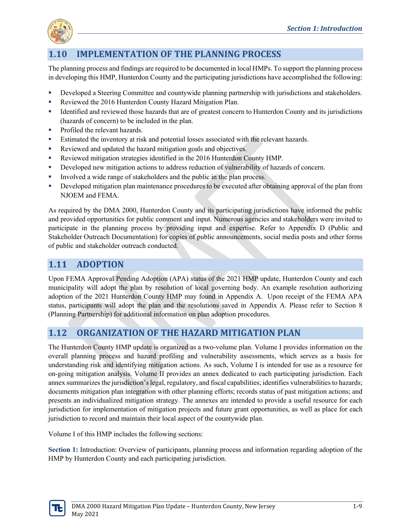

## **1.10 IMPLEMENTATION OF THE PLANNING PROCESS**

The planning process and findings are required to be documented in local HMPs. To support the planning process in developing this HMP, Hunterdon County and the participating jurisdictions have accomplished the following:

- **Developed a Steering Committee and countywide planning partnership with jurisdictions and stakeholders.**
- Reviewed the 2016 Hunterdon County Hazard Mitigation Plan.
- Identified and reviewed those hazards that are of greatest concern to Hunterdon County and its jurisdictions (hazards of concern) to be included in the plan.
- Profiled the relevant hazards.
- Estimated the inventory at risk and potential losses associated with the relevant hazards.
- Reviewed and updated the hazard mitigation goals and objectives.
- Reviewed mitigation strategies identified in the 2016 Hunterdon County HMP.
- Developed new mitigation actions to address reduction of vulnerability of hazards of concern.
- Involved a wide range of stakeholders and the public in the plan process.
- Developed mitigation plan maintenance procedures to be executed after obtaining approval of the plan from NJOEM and FEMA.

As required by the DMA 2000, Hunterdon County and its participating jurisdictions have informed the public and provided opportunities for public comment and input. Numerous agencies and stakeholders were invited to participate in the planning process by providing input and expertise. Refer to Appendix D (Public and Stakeholder Outreach Documentation) for copies of public announcements, social media posts and other forms of public and stakeholder outreach conducted.

#### **1.11 ADOPTION**

Upon FEMA Approval Pending Adoption (APA) status of the 2021 HMP update, Hunterdon County and each municipality will adopt the plan by resolution of local governing body. An example resolution authorizing adoption of the 2021 Hunterdon County HMP may found in Appendix A. Upon receipt of the FEMA APA status, participants will adopt the plan and the resolutions saved in Appendix A. Please refer to Section 8 (Planning Partnership) for additional information on plan adoption procedures.

#### **1.12 ORGANIZATION OF THE HAZARD MITIGATION PLAN**

The Hunterdon County HMP update is organized as a two-volume plan. Volume I provides information on the overall planning process and hazard profiling and vulnerability assessments, which serves as a basis for understanding risk and identifying mitigation actions. As such, Volume I is intended for use as a resource for on-going mitigation analysis. Volume II provides an annex dedicated to each participating jurisdiction. Each annex summarizes the jurisdiction's legal, regulatory, and fiscal capabilities; identifies vulnerabilities to hazards; documents mitigation plan integration with other planning efforts; records status of past mitigation actions; and presents an individualized mitigation strategy. The annexes are intended to provide a useful resource for each jurisdiction for implementation of mitigation projects and future grant opportunities, as well as place for each jurisdiction to record and maintain their local aspect of the countywide plan.

Volume I of this HMP includes the following sections:

**Section 1:** Introduction: Overview of participants, planning process and information regarding adoption of the HMP by Hunterdon County and each participating jurisdiction.

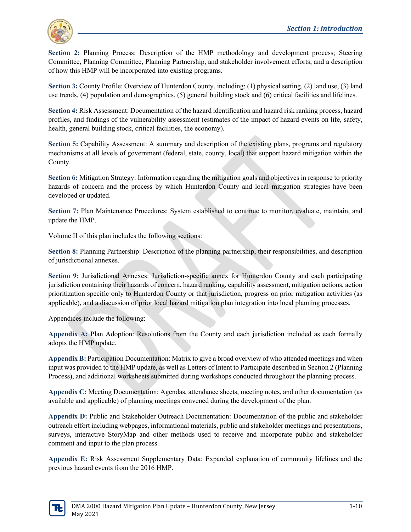

**Section 2:** Planning Process: Description of the HMP methodology and development process; Steering Committee, Planning Committee, Planning Partnership, and stakeholder involvement efforts; and a description of how this HMP will be incorporated into existing programs.

**Section 3:** County Profile: Overview of Hunterdon County, including: (1) physical setting, (2) land use, (3) land use trends, (4) population and demographics, (5) general building stock and (6) critical facilities and lifelines.

**Section 4:** Risk Assessment: Documentation of the hazard identification and hazard risk ranking process, hazard profiles, and findings of the vulnerability assessment (estimates of the impact of hazard events on life, safety, health, general building stock, critical facilities, the economy).

**Section 5:** Capability Assessment: A summary and description of the existing plans, programs and regulatory mechanisms at all levels of government (federal, state, county, local) that support hazard mitigation within the County.

**Section 6:** Mitigation Strategy: Information regarding the mitigation goals and objectives in response to priority hazards of concern and the process by which Hunterdon County and local mitigation strategies have been developed or updated.

**Section 7:** Plan Maintenance Procedures: System established to continue to monitor, evaluate, maintain, and update the HMP.

Volume II of this plan includes the following sections:

**Section 8:** Planning Partnership: Description of the planning partnership, their responsibilities, and description of jurisdictional annexes.

**Section 9:** Jurisdictional Annexes: Jurisdiction-specific annex for Hunterdon County and each participating jurisdiction containing their hazards of concern, hazard ranking, capability assessment, mitigation actions, action prioritization specific only to Hunterdon County or that jurisdiction, progress on prior mitigation activities (as applicable), and a discussion of prior local hazard mitigation plan integration into local planning processes.

Appendices include the following:

**Appendix A:** Plan Adoption: Resolutions from the County and each jurisdiction included as each formally adopts the HMP update.

**Appendix B:** Participation Documentation: Matrix to give a broad overview of who attended meetings and when input was provided to the HMP update, as well as Letters of Intent to Participate described in Section 2 (Planning Process), and additional worksheets submitted during workshops conducted throughout the planning process.

**Appendix C:** Meeting Documentation: Agendas, attendance sheets, meeting notes, and other documentation (as available and applicable) of planning meetings convened during the development of the plan.

**Appendix D:** Public and Stakeholder Outreach Documentation: Documentation of the public and stakeholder outreach effort including webpages, informational materials, public and stakeholder meetings and presentations, surveys, interactive StoryMap and other methods used to receive and incorporate public and stakeholder comment and input to the plan process.

**Appendix E:** Risk Assessment Supplementary Data: Expanded explanation of community lifelines and the previous hazard events from the 2016 HMP.

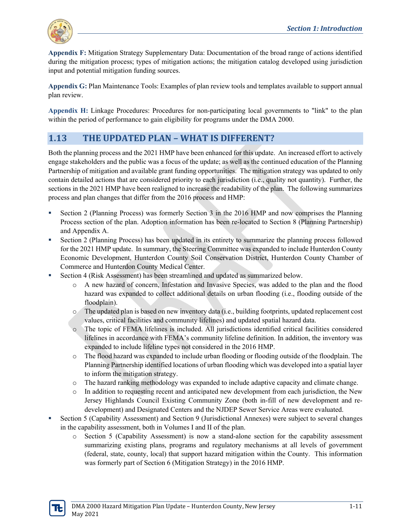

**Appendix F:** Mitigation Strategy Supplementary Data: Documentation of the broad range of actions identified during the mitigation process; types of mitigation actions; the mitigation catalog developed using jurisdiction input and potential mitigation funding sources.

**Appendix G:** Plan Maintenance Tools: Examples of plan review tools and templates available to support annual plan review.

**Appendix H:** Linkage Procedures: Procedures for non-participating local governments to "link" to the plan within the period of performance to gain eligibility for programs under the DMA 2000.

## **1.13 THE UPDATED PLAN – WHAT IS DIFFERENT?**

Both the planning process and the 2021 HMP have been enhanced for this update. An increased effort to actively engage stakeholders and the public was a focus of the update; as well as the continued education of the Planning Partnership of mitigation and available grant funding opportunities. The mitigation strategy was updated to only contain detailed actions that are considered priority to each jurisdiction (i.e., quality not quantity). Further, the sections in the 2021 HMP have been realigned to increase the readability of the plan. The following summarizes process and plan changes that differ from the 2016 process and HMP:

- Section 2 (Planning Process) was formerly Section 3 in the 2016 HMP and now comprises the Planning Process section of the plan. Adoption information has been re-located to Section 8 (Planning Partnership) and Appendix A.
- Section 2 (Planning Process) has been updated in its entirety to summarize the planning process followed for the 2021 HMP update. In summary, the Steering Committee was expanded to include Hunterdon County Economic Development, Hunterdon County Soil Conservation District, Hunterdon County Chamber of Commerce and Hunterdon County Medical Center.
- Section 4 (Risk Assessment) has been streamlined and updated as summarized below.
	- o A new hazard of concern, Infestation and Invasive Species, was added to the plan and the flood hazard was expanded to collect additional details on urban flooding (i.e., flooding outside of the floodplain).
	- o The updated plan is based on new inventory data (i.e., building footprints, updated replacement cost values, critical facilities and community lifelines) and updated spatial hazard data.
	- o The topic of FEMA lifelines is included. All jurisdictions identified critical facilities considered lifelines in accordance with FEMA's community lifeline definition. In addition, the inventory was expanded to include lifeline types not considered in the 2016 HMP.
	- o The flood hazard was expanded to include urban flooding or flooding outside of the floodplain. The Planning Partnership identified locations of urban flooding which was developed into a spatial layer to inform the mitigation strategy.
	- o The hazard ranking methodology was expanded to include adaptive capacity and climate change.
	- o In addition to requesting recent and anticipated new development from each jurisdiction, the New Jersey Highlands Council Existing Community Zone (both in-fill of new development and redevelopment) and Designated Centers and the NJDEP Sewer Service Areas were evaluated.
- Section 5 (Capability Assessment) and Section 9 (Jurisdictional Annexes) were subject to several changes in the capability assessment, both in Volumes I and II of the plan.
	- o Section 5 (Capability Assessment) is now a stand-alone section for the capability assessment summarizing existing plans, programs and regulatory mechanisms at all levels of government (federal, state, county, local) that support hazard mitigation within the County. This information was formerly part of Section 6 (Mitigation Strategy) in the 2016 HMP.

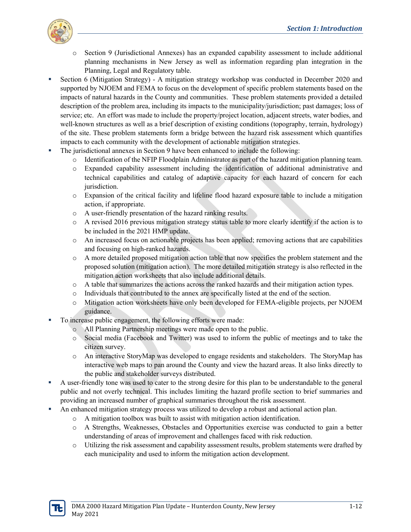

- o Section 9 (Jurisdictional Annexes) has an expanded capability assessment to include additional planning mechanisms in New Jersey as well as information regarding plan integration in the Planning, Legal and Regulatory table.
- Section 6 (Mitigation Strategy) A mitigation strategy workshop was conducted in December 2020 and supported by NJOEM and FEMA to focus on the development of specific problem statements based on the impacts of natural hazards in the County and communities. These problem statements provided a detailed description of the problem area, including its impacts to the municipality/jurisdiction; past damages; loss of service; etc. An effort was made to include the property/project location, adjacent streets, water bodies, and well-known structures as well as a brief description of existing conditions (topography, terrain, hydrology) of the site. These problem statements form a bridge between the hazard risk assessment which quantifies impacts to each community with the development of actionable mitigation strategies.
- The jurisdictional annexes in Section 9 have been enhanced to include the following:
	- o Identification of the NFIP Floodplain Administrator as part of the hazard mitigation planning team.
	- o Expanded capability assessment including the identification of additional administrative and technical capabilities and catalog of adaptive capacity for each hazard of concern for each jurisdiction.
	- o Expansion of the critical facility and lifeline flood hazard exposure table to include a mitigation action, if appropriate.
	- o A user-friendly presentation of the hazard ranking results.
	- $\circ$  A revised 2016 previous mitigation strategy status table to more clearly identify if the action is to be included in the 2021 HMP update.
	- o An increased focus on actionable projects has been applied; removing actions that are capabilities and focusing on high-ranked hazards.
	- o A more detailed proposed mitigation action table that now specifies the problem statement and the proposed solution (mitigation action). The more detailed mitigation strategy is also reflected in the mitigation action worksheets that also include additional details.
	- o A table that summarizes the actions across the ranked hazards and their mitigation action types.
	- o Individuals that contributed to the annex are specifically listed at the end of the section.
	- o Mitigation action worksheets have only been developed for FEMA-eligible projects, per NJOEM guidance.
- To increase public engagement, the following efforts were made:
	- o All Planning Partnership meetings were made open to the public.
	- o Social media (Facebook and Twitter) was used to inform the public of meetings and to take the citizen survey.
	- o An interactive StoryMap was developed to engage residents and stakeholders. The StoryMap has interactive web maps to pan around the County and view the hazard areas. It also links directly to the public and stakeholder surveys distributed.
- A user-friendly tone was used to cater to the strong desire for this plan to be understandable to the general public and not overly technical. This includes limiting the hazard profile section to brief summaries and providing an increased number of graphical summaries throughout the risk assessment.
- An enhanced mitigation strategy process was utilized to develop a robust and actional action plan.
	- o A mitigation toolbox was built to assist with mitigation action identification.
	- o A Strengths, Weaknesses, Obstacles and Opportunities exercise was conducted to gain a better understanding of areas of improvement and challenges faced with risk reduction.
	- o Utilizing the risk assessment and capability assessment results, problem statements were drafted by each municipality and used to inform the mitigation action development.

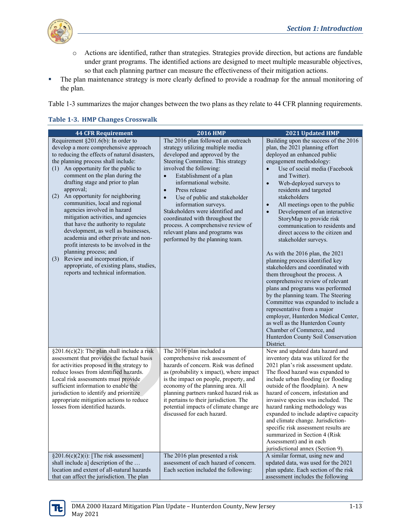

- o Actions are identified, rather than strategies. Strategies provide direction, but actions are fundable under grant programs. The identified actions are designed to meet multiple measurable objectives, so that each planning partner can measure the effectiveness of their mitigation actions.
- The plan maintenance strategy is more clearly defined to provide a roadmap for the annual monitoring of the plan.

Table 1-3 summarizes the major changes between the two plans as they relate to 44 CFR planning requirements.

| <b>44 CFR Requirement</b>                                                                                                                                                                                                                                                                                                                                                                                                                                                                                                                                                                                                                                                                                                                                         | <b>2016 HMP</b>                                                                                                                                                                                                                                                                                                                                                                                                                                                                                                                   | 2021 Updated HMP                                                                                                                                                                                                                                                                                                                                                                                                                                                                                                                                                                                                                                                                                                                                                                                                                                                                                                                                                                                     |
|-------------------------------------------------------------------------------------------------------------------------------------------------------------------------------------------------------------------------------------------------------------------------------------------------------------------------------------------------------------------------------------------------------------------------------------------------------------------------------------------------------------------------------------------------------------------------------------------------------------------------------------------------------------------------------------------------------------------------------------------------------------------|-----------------------------------------------------------------------------------------------------------------------------------------------------------------------------------------------------------------------------------------------------------------------------------------------------------------------------------------------------------------------------------------------------------------------------------------------------------------------------------------------------------------------------------|------------------------------------------------------------------------------------------------------------------------------------------------------------------------------------------------------------------------------------------------------------------------------------------------------------------------------------------------------------------------------------------------------------------------------------------------------------------------------------------------------------------------------------------------------------------------------------------------------------------------------------------------------------------------------------------------------------------------------------------------------------------------------------------------------------------------------------------------------------------------------------------------------------------------------------------------------------------------------------------------------|
| Requirement §201.6(b): In order to<br>develop a more comprehensive approach<br>to reducing the effects of natural disasters,<br>the planning process shall include:<br>(1) An opportunity for the public to<br>comment on the plan during the<br>drafting stage and prior to plan<br>approval;<br>An opportunity for neighboring<br>(2)<br>communities, local and regional<br>agencies involved in hazard<br>mitigation activities, and agencies<br>that have the authority to regulate<br>development, as well as businesses,<br>academia and other private and non-<br>profit interests to be involved in the<br>planning process; and<br>Review and incorporation, if<br>(3)<br>appropriate, of existing plans, studies,<br>reports and technical information. | The 2016 plan followed an outreach<br>strategy utilizing multiple media<br>developed and approved by the<br>Steering Committee. This strategy<br>involved the following:<br>Establishment of a plan<br>$\bullet$<br>informational website.<br>Press release<br>$\bullet$<br>Use of public and stakeholder<br>$\bullet$<br>information surveys.<br>Stakeholders were identified and<br>coordinated with throughout the<br>process. A comprehensive review of<br>relevant plans and programs was<br>performed by the planning team. | Building upon the success of the 2016<br>plan, the 2021 planning effort<br>deployed an enhanced public<br>engagement methodology:<br>Use of social media (Facebook<br>$\bullet$<br>and Twitter).<br>Web-deployed surveys to<br>$\bullet$<br>residents and targeted<br>stakeholders<br>All meetings open to the public<br>$\bullet$<br>Development of an interactive<br>$\bullet$<br>StoryMap to provide risk<br>communication to residents and<br>direct access to the citizen and<br>stakeholder surveys.<br>As with the 2016 plan, the 2021<br>planning process identified key<br>stakeholders and coordinated with<br>them throughout the process. A<br>comprehensive review of relevant<br>plans and programs was performed<br>by the planning team. The Steering<br>Committee was expanded to include a<br>representative from a major<br>employer, Hunterdon Medical Center,<br>as well as the Hunterdon County<br>Chamber of Commerce, and<br>Hunterdon County Soil Conservation<br>District. |
| §201.6(c)(2): The plan shall include a risk<br>assessment that provides the factual basis<br>for activities proposed in the strategy to<br>reduce losses from identified hazards.<br>Local risk assessments must provide<br>sufficient information to enable the<br>jurisdiction to identify and prioritize<br>appropriate mitigation actions to reduce<br>losses from identified hazards.                                                                                                                                                                                                                                                                                                                                                                        | The 2016 plan included a<br>comprehensive risk assessment of<br>hazards of concern. Risk was defined<br>as (probability x impact), where impact<br>is the impact on people, property, and<br>economy of the planning area. All<br>planning partners ranked hazard risk as<br>it pertains to their jurisdiction. The<br>potential impacts of climate change are<br>discussed for each hazard.                                                                                                                                      | New and updated data hazard and<br>inventory data was utilized for the<br>2021 plan's risk assessment update.<br>The flood hazard was expanded to<br>include urban flooding (or flooding<br>outside of the floodplain). A new<br>hazard of concern, infestation and<br>invasive species was included. The<br>hazard ranking methodology was<br>expanded to include adaptive capacity<br>and climate change. Jurisdiction-<br>specific risk assessment results are<br>summarized in Section 4 (Risk<br>Assessment) and in each<br>jurisdictional annex (Section 9).                                                                                                                                                                                                                                                                                                                                                                                                                                   |
| $\S201.6(c)(2)(i)$ : [The risk assessment]<br>shall include a] description of the<br>location and extent of all-natural hazards<br>that can affect the jurisdiction. The plan                                                                                                                                                                                                                                                                                                                                                                                                                                                                                                                                                                                     | The 2016 plan presented a risk<br>assessment of each hazard of concern.<br>Each section included the following:                                                                                                                                                                                                                                                                                                                                                                                                                   | A similar format, using new and<br>updated data, was used for the 2021<br>plan update. Each section of the risk<br>assessment includes the following                                                                                                                                                                                                                                                                                                                                                                                                                                                                                                                                                                                                                                                                                                                                                                                                                                                 |

#### **Table 1-3. HMP Changes Crosswalk**

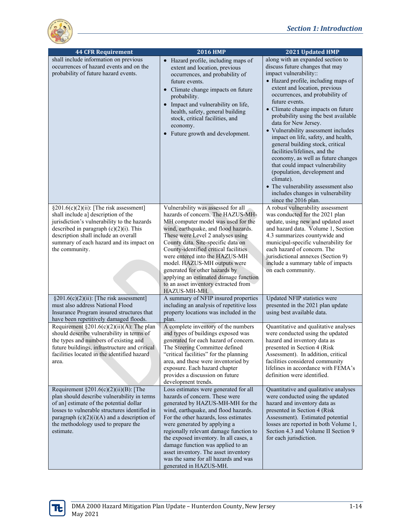

| <b>44 CFR Requirement</b>                                                                                                                                                                                                                                                                  | <b>2016 HMP</b>                                                                                                                                                                                                                                                                                                                                                                                                                                                                | 2021 Updated HMP                                                                                                                                                                                                                                                                                                                                                                                                                                                                                                                                                                                                                                                                                               |
|--------------------------------------------------------------------------------------------------------------------------------------------------------------------------------------------------------------------------------------------------------------------------------------------|--------------------------------------------------------------------------------------------------------------------------------------------------------------------------------------------------------------------------------------------------------------------------------------------------------------------------------------------------------------------------------------------------------------------------------------------------------------------------------|----------------------------------------------------------------------------------------------------------------------------------------------------------------------------------------------------------------------------------------------------------------------------------------------------------------------------------------------------------------------------------------------------------------------------------------------------------------------------------------------------------------------------------------------------------------------------------------------------------------------------------------------------------------------------------------------------------------|
| shall include information on previous<br>occurrences of hazard events and on the<br>probability of future hazard events.                                                                                                                                                                   | Hazard profile, including maps of<br>$\bullet$<br>extent and location, previous<br>occurrences, and probability of<br>future events.<br>Climate change impacts on future<br>probability.<br>Impact and vulnerability on life,<br>health, safety, general building<br>stock, critical facilities, and<br>economy.<br>Future growth and development.                                                                                                                             | along with an expanded section to<br>discuss future changes that may<br>impact vulnerability::<br>• Hazard profile, including maps of<br>extent and location, previous<br>occurrences, and probability of<br>future events.<br>• Climate change impacts on future<br>probability using the best available<br>data for New Jersey.<br>• Vulnerability assessment includes<br>impact on life, safety, and health,<br>general building stock, critical<br>facilities/lifelines, and the<br>economy, as well as future changes<br>that could impact vulnerability<br>(population, development and<br>climate).<br>• The vulnerability assessment also<br>includes changes in vulnerability<br>since the 2016 plan. |
| $§201.6(c)(2)(ii)$ : [The risk assessment]<br>shall include a] description of the<br>jurisdiction's vulnerability to the hazards<br>described in paragraph $(c)(2)(i)$ . This<br>description shall include an overall<br>summary of each hazard and its impact on<br>the community.        | Vulnerability was assessed for all<br>hazards of concern. The HAZUS-MH-<br>MH computer model was used for the<br>wind, earthquake, and flood hazards.<br>These were Level 2 analyses using<br>County data. Site-specific data on<br>County-identified critical facilities<br>were entered into the HAZUS-MH<br>model. HAZUS-MH outputs were<br>generated for other hazards by<br>applying an estimated damage function<br>to an asset inventory extracted from<br>HAZUS-MH-MH. | A robust vulnerability assessment<br>was conducted for the 2021 plan<br>update, using new and updated asset<br>and hazard data. Volume 1, Section<br>4.3 summarizes countywide and<br>municipal-specific vulnerability for<br>each hazard of concern. The<br>jurisdictional annexes (Section 9)<br>include a summary table of impacts<br>on each community.                                                                                                                                                                                                                                                                                                                                                    |
| $§201.6(c)(2)(ii)$ : [The risk assessment]<br>must also address National Flood<br>Insurance Program insured structures that<br>have been repetitively damaged floods.                                                                                                                      | A summary of NFIP insured properties<br>including an analysis of repetitive loss<br>property locations was included in the<br>plan.                                                                                                                                                                                                                                                                                                                                            | Updated NFIP statistics were<br>presented in the 2021 plan update<br>using best available data.                                                                                                                                                                                                                                                                                                                                                                                                                                                                                                                                                                                                                |
| Requirement §201.6(c)(2)(ii)(A): The plan<br>should describe vulnerability in terms of<br>the types and numbers of existing and<br>future buildings, infrastructure and critical<br>facilities located in the identified hazard<br>area.                                                   | A complete inventory of the numbers<br>and types of buildings exposed was<br>generated for each hazard of concern.<br>The Steering Committee defined<br>"critical facilities" for the planning<br>area, and these were inventoried by<br>exposure. Each hazard chapter<br>provides a discussion on future<br>development trends.                                                                                                                                               | Quantitative and qualitative analyses<br>were conducted using the updated<br>hazard and inventory data as<br>presented in Section 4 (Risk<br>Assessment). In addition, critical<br>facilities considered community<br>lifelines in accordance with FEMA's<br>definition were identified.                                                                                                                                                                                                                                                                                                                                                                                                                       |
| Requirement $\S 201.6(c)(2)(ii)(B)$ : [The<br>plan should describe vulnerability in terms<br>of an] estimate of the potential dollar<br>losses to vulnerable structures identified in<br>paragraph $(c)(2)(i)(A)$ and a description of<br>the methodology used to prepare the<br>estimate. | Loss estimates were generated for all<br>hazards of concern. These were<br>generated by HAZUS-MH-MH for the<br>wind, earthquake, and flood hazards.<br>For the other hazards, loss estimates<br>were generated by applying a<br>regionally relevant damage function to<br>the exposed inventory. In all cases, a<br>damage function was applied to an<br>asset inventory. The asset inventory<br>was the same for all hazards and was<br>generated in HAZUS-MH.                | Quantitative and qualitative analyses<br>were conducted using the updated<br>hazard and inventory data as<br>presented in Section 4 (Risk)<br>Assessment). Estimated potential<br>losses are reported in both Volume 1,<br>Section 4.3 and Volume II Section 9<br>for each jurisdiction.                                                                                                                                                                                                                                                                                                                                                                                                                       |

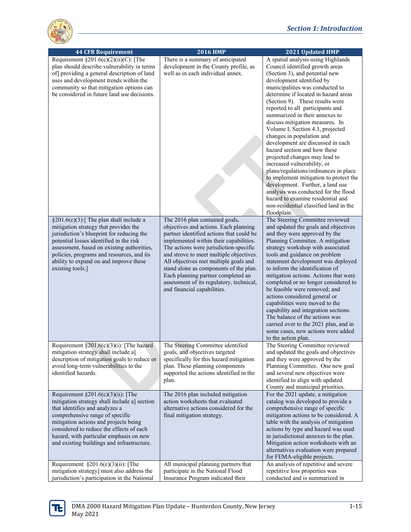

| <b>44 CFR Requirement</b>                                                                                                                                                                                                                                                                                                                                                                                                          | <b>2016 HMP</b>                                                                                                                                                                                                                                                                                                                                                                                                                                        | 2021 Updated HMP                                                                                                                                                                                                                                                                                                                                                                                                                                                                                                                                                                                                                                                                                                                                                                                                               |
|------------------------------------------------------------------------------------------------------------------------------------------------------------------------------------------------------------------------------------------------------------------------------------------------------------------------------------------------------------------------------------------------------------------------------------|--------------------------------------------------------------------------------------------------------------------------------------------------------------------------------------------------------------------------------------------------------------------------------------------------------------------------------------------------------------------------------------------------------------------------------------------------------|--------------------------------------------------------------------------------------------------------------------------------------------------------------------------------------------------------------------------------------------------------------------------------------------------------------------------------------------------------------------------------------------------------------------------------------------------------------------------------------------------------------------------------------------------------------------------------------------------------------------------------------------------------------------------------------------------------------------------------------------------------------------------------------------------------------------------------|
| Requirement $\S 201.6(c)(2)(ii)(C)$ : [The<br>plan should describe vulnerability in terms<br>of] providing a general description of land<br>uses and development trends within the<br>community so that mitigation options can<br>be considered in future land use decisions.                                                                                                                                                      | There is a summary of anticipated<br>development in the County profile, as<br>well as in each individual annex.                                                                                                                                                                                                                                                                                                                                        | A spatial analysis using Highlands<br>Council identified growth areas<br>(Section 3), and potential new<br>development identified by<br>municipalities was conducted to<br>determine if located in hazard areas<br>(Section 9). These results were<br>reported to all participants and<br>summarized in their annexes to<br>discuss mitigation measures. In<br>Volume I, Section 4.3, projected<br>changes in population and<br>development are discussed in each<br>hazard section and how these<br>projected changes may lead to<br>increased vulnerability, or<br>plans/regulations/ordinances in place<br>to implement mitigation to protect the<br>development. Further, a land use<br>analysis was conducted for the flood<br>hazard to examine residential and<br>non-residential classified land in the<br>floodplain. |
| §201.6(c)(3):[ The plan shall include a<br>mitigation strategy that provides the<br>jurisdiction's blueprint for reducing the<br>potential losses identified in the risk<br>assessment, based on existing authorities,<br>policies, programs and resources, and its<br>ability to expand on and improve these<br>existing tools.]                                                                                                  | The 2016 plan contained goals,<br>objectives and actions. Each planning<br>partner identified actions that could be<br>implemented within their capabilities.<br>The actions were jurisdiction-specific<br>and strove to meet multiple objectives.<br>All objectives met multiple goals and<br>stand alone as components of the plan.<br>Each planning partner completed an<br>assessment of its regulatory, technical,<br>and financial capabilities. | The Steering Committee reviewed<br>and updated the goals and objectives<br>and they were approved by the<br>Planning Committee. A mitigation<br>strategy workshop with associated<br>tools and guidance on problem<br>statement development was deployed<br>to inform the identification of<br>mitigation actions. Actions that were<br>completed or no longer considered to<br>be feasible were removed; and<br>actions considered general or<br>capabilities were moved to the<br>capability and integration sections.<br>The balance of the actions was<br>carried over to the 2021 plan, and in<br>some cases, new actions were added<br>to the action plan.                                                                                                                                                               |
| Requirement §201.6(c)(3)(i): [The hazard<br>mitigation strategy shall include a]<br>description of mitigation goals to reduce or<br>avoid long-term vulnerabilities to the<br>identified hazards.                                                                                                                                                                                                                                  | The Steering Committee identified<br>goals, and objectives targeted<br>specifically for this hazard mitigation<br>plan. These planning components<br>supported the actions identified in the<br>plan.                                                                                                                                                                                                                                                  | The Steering Committee reviewed<br>and updated the goals and objectives<br>and they were approved by the<br>Planning Committee. One new goal<br>and several new objectives were<br>identified to align with updated<br>County and municipal priorities.                                                                                                                                                                                                                                                                                                                                                                                                                                                                                                                                                                        |
| Requirement $\S201.6(c)(3)(ii)$ : [The<br>mitigation strategy shall include a] section<br>that identifies and analyzes a<br>comprehensive range of specific<br>mitigation actions and projects being<br>considered to reduce the effects of each<br>hazard, with particular emphasis on new<br>and existing buildings and infrastructure.<br>Requirement: $\S201.6(c)(3)(ii)$ : [The<br>mitigation strategy] must also address the | The 2016 plan included mitigation<br>action worksheets that evaluated<br>alternative actions considered for the<br>final mitigation strategy.<br>All municipal planning partners that<br>participate in the National Flood                                                                                                                                                                                                                             | For the 2021 update, a mitigation<br>catalog was developed to provide a<br>comprehensive range of specific<br>mitigation actions to be considered. A<br>table with the analysis of mitigation<br>actions by type and hazard was used<br>in jurisdictional annexes to the plan.<br>Mitigation action worksheets with an<br>alternatives evaluation were prepared<br>for FEMA-eligible projects.<br>An analysis of repetitive and severe<br>repetitive loss properties was                                                                                                                                                                                                                                                                                                                                                       |
| jurisdiction's participation in the National                                                                                                                                                                                                                                                                                                                                                                                       | Insurance Program indicated their                                                                                                                                                                                                                                                                                                                                                                                                                      | conducted and is summarized in                                                                                                                                                                                                                                                                                                                                                                                                                                                                                                                                                                                                                                                                                                                                                                                                 |

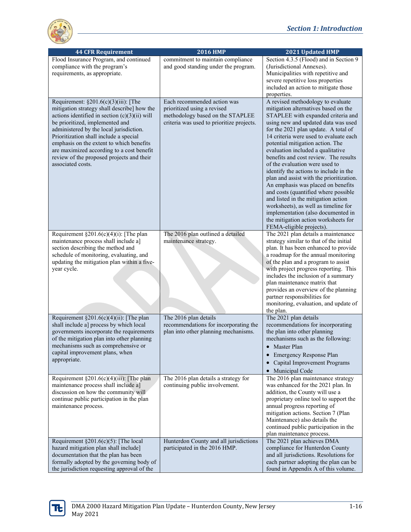

| <b>44 CFR Requirement</b>                                                                                                                                                                                                                                                                                                                                                                                                     | <b>2016 HMP</b>                                                                                                                             | 2021 Updated HMP                                                                                                                                                                                                                                                                                                                                                                                                                                                                                                                                                                                                                                                                                                                                          |
|-------------------------------------------------------------------------------------------------------------------------------------------------------------------------------------------------------------------------------------------------------------------------------------------------------------------------------------------------------------------------------------------------------------------------------|---------------------------------------------------------------------------------------------------------------------------------------------|-----------------------------------------------------------------------------------------------------------------------------------------------------------------------------------------------------------------------------------------------------------------------------------------------------------------------------------------------------------------------------------------------------------------------------------------------------------------------------------------------------------------------------------------------------------------------------------------------------------------------------------------------------------------------------------------------------------------------------------------------------------|
| Flood Insurance Program, and continued<br>compliance with the program's<br>requirements, as appropriate.                                                                                                                                                                                                                                                                                                                      | commitment to maintain compliance<br>and good standing under the program.                                                                   | Section 4.3.5 (Flood) and in Section 9<br>(Jurisdictional Annexes).<br>Municipalities with repetitive and<br>severe repetitive loss properties<br>included an action to mitigate those<br>properties.                                                                                                                                                                                                                                                                                                                                                                                                                                                                                                                                                     |
| Requirement: $\S201.6(c)(3)(iii)$ : [The<br>mitigation strategy shall describe] how the<br>actions identified in section $(c)(3)(ii)$ will<br>be prioritized, implemented and<br>administered by the local jurisdiction.<br>Prioritization shall include a special<br>emphasis on the extent to which benefits<br>are maximized according to a cost benefit<br>review of the proposed projects and their<br>associated costs. | Each recommended action was<br>prioritized using a revised<br>methodology based on the STAPLEE<br>criteria was used to prioritize projects. | A revised methodology to evaluate<br>mitigation alternatives based on the<br>STAPLEE with expanded criteria and<br>using new and updated data was used<br>for the 2021 plan update. A total of<br>14 criteria were used to evaluate each<br>potential mitigation action. The<br>evaluation included a qualitative<br>benefits and cost review. The results<br>of the evaluation were used to<br>identify the actions to include in the<br>plan and assist with the prioritization.<br>An emphasis was placed on benefits<br>and costs (quantified where possible<br>and listed in the mitigation action<br>worksheets), as well as timeline for<br>implementation (also documented in<br>the mitigation action worksheets for<br>FEMA-eligible projects). |
| Requirement $\S 201.6(c)(4)(i)$ : [The plan<br>maintenance process shall include a]<br>section describing the method and<br>schedule of monitoring, evaluating, and<br>updating the mitigation plan within a five-<br>year cycle.                                                                                                                                                                                             | The 2016 plan outlined a detailed<br>maintenance strategy.                                                                                  | The 2021 plan details a maintenance<br>strategy similar to that of the initial<br>plan. It has been enhanced to provide<br>a roadmap for the annual monitoring<br>of the plan and a program to assist<br>with project progress reporting. This<br>includes the inclusion of a summary<br>plan maintenance matrix that<br>provides an overview of the planning<br>partner responsibilities for<br>monitoring, evaluation, and update of<br>the plan.                                                                                                                                                                                                                                                                                                       |
| Requirement §201.6(c)(4)(ii): [The plan<br>shall include a] process by which local<br>governments incorporate the requirements<br>of the mitigation plan into other planning<br>mechanisms such as comprehensive or<br>capital improvement plans, when<br>appropriate.                                                                                                                                                        | The 2016 plan details<br>recommendations for incorporating the<br>plan into other planning mechanisms.                                      | The 2021 plan details<br>recommendations for incorporating<br>the plan into other planning<br>mechanisms such as the following:<br>Master Plan<br>• Emergency Response Plan<br>• Capital Improvement Programs<br>• Municipal Code                                                                                                                                                                                                                                                                                                                                                                                                                                                                                                                         |
| Requirement $\S201.6(c)(4)(iii)$ : [The plan<br>maintenance process shall include a]<br>discussion on how the community will<br>continue public participation in the plan<br>maintenance process.                                                                                                                                                                                                                             | The 2016 plan details a strategy for<br>continuing public involvement.                                                                      | The 2016 plan maintenance strategy<br>was enhanced for the 2021 plan. In<br>addition, the County will use a<br>proprietary online tool to support the<br>annual progress reporting of<br>mitigation actions. Section 7 (Plan<br>Maintenance) also details the<br>continued public participation in the<br>plan maintenance process.                                                                                                                                                                                                                                                                                                                                                                                                                       |
| Requirement $\S 201.6(c)(5)$ : [The local<br>hazard mitigation plan shall include]<br>documentation that the plan has been<br>formally adopted by the governing body of<br>the jurisdiction requesting approval of the                                                                                                                                                                                                        | Hunterdon County and all jurisdictions<br>participated in the 2016 HMP.                                                                     | The 2021 plan achieves DMA<br>compliance for Hunterdon County<br>and all jurisdictions. Resolutions for<br>each partner adopting the plan can be<br>found in Appendix A of this volume.                                                                                                                                                                                                                                                                                                                                                                                                                                                                                                                                                                   |